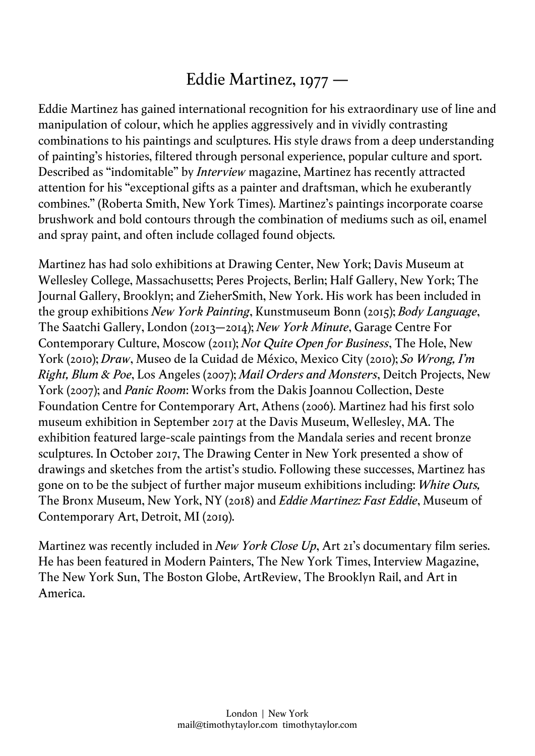## Eddie Martinez, 1977 —

Eddie Martinez has gained international recognition for his extraordinary use of line and manipulation of colour, which he applies aggressively and in vividly contrasting combinations to his paintings and sculptures. His style draws from a deep understanding of painting's histories, filtered through personal experience, popular culture and sport. Described as "indomitable" by *Interview* magazine, Martinez has recently attracted attention for his "exceptional gifts as a painter and draftsman, which he exuberantly combines." (Roberta Smith, New York Times). Martinez's paintings incorporate coarse brushwork and bold contours through the combination of mediums such as oil, enamel and spray paint, and often include collaged found objects.

Martinez has had solo exhibitions at Drawing Center, New York; Davis Museum at Wellesley College, Massachusetts; Peres Projects, Berlin; Half Gallery, New York; The Journal Gallery, Brooklyn; and ZieherSmith, New York. His work has been included in the group exhibitions *New York Painting*, Kunstmuseum Bonn (2015); *Body Language*, The Saatchi Gallery, London (2013–2014); *New York Minute*, Garage Centre For Contemporary Culture, Moscow (2011); *Not Quite Open for Business*, The Hole, New York (2010); *Draw*, Museo de la Cuidad de México, Mexico City (2010); *So Wrong, I'm Right, Blum & Poe*, Los Angeles (2007); *Mail Orders and Monsters*, Deitch Projects, New York (2007); and *Panic Room*: Works from the Dakis Joannou Collection, Deste Foundation Centre for Contemporary Art, Athens (2006). Martinez had his first solo museum exhibition in September 2017 at the Davis Museum, Wellesley, MA. The exhibition featured large-scale paintings from the Mandala series and recent bronze sculptures. In October 2017, The Drawing Center in New York presented a show of drawings and sketches from the artist's studio. Following these successes, Martinez has gone on to be the subject of further major museum exhibitions including: *White Outs,* The Bronx Museum, New York, NY (2018) and *Eddie Martinez: Fast Eddie*, Museum of Contemporary Art, Detroit, MI (2019).

Martinez was recently included in *New York Close Up*, Art 21's documentary film series. He has been featured in Modern Painters, The New York Times, Interview Magazine, The New York Sun, The Boston Globe, ArtReview, The Brooklyn Rail, and Art in America.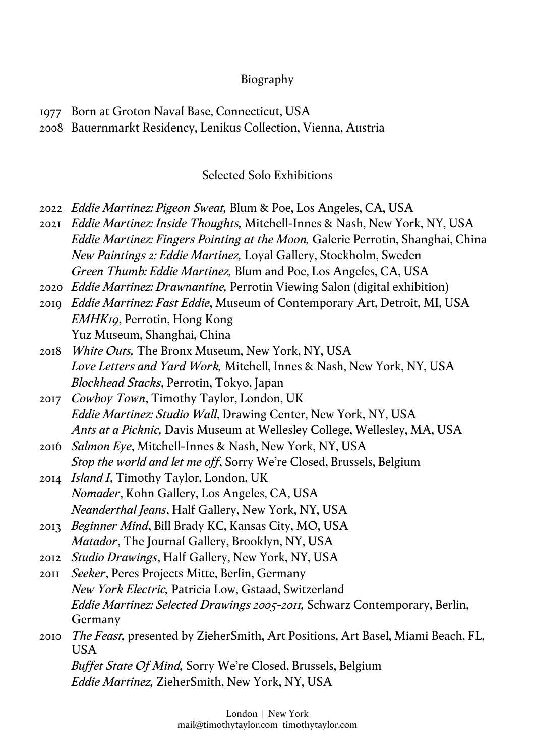## Biography

2008 Bauernmarkt Residency, Lenikus Collection, Vienna, Austria

## Selected Solo Exhibitions

- 2022 *Eddie Martinez: Pigeon Sweat,* Blum & Poe, Los Angeles, CA, USA
- 2021 *Eddie Martinez: Inside Thoughts,* Mitchell-Innes & Nash, New York, NY, USA *Eddie Martinez: Fingers Pointing at the Moon,* Galerie Perrotin, Shanghai, China *New Paintings 2: Eddie Martinez,* Loyal Gallery, Stockholm, Sweden *Green Thumb: Eddie Martinez,* Blum and Poe, Los Angeles, CA, USA
- 2020 *Eddie Martinez: Drawnantine,* Perrotin Viewing Salon (digital exhibition)
- 2019 *Eddie Martinez: Fast Eddie*, Museum of Contemporary Art, Detroit, MI, USA *EMHK19*, Perrotin, Hong Kong Yuz Museum, Shanghai, China
- 2018 *White Outs,* The Bronx Museum, New York, NY, USA *Love Letters and Yard Work,* Mitchell, Innes & Nash, New York, NY, USA *Blockhead Stacks*, Perrotin, Tokyo, Japan
- 2017 *Cowboy Town*, Timothy Taylor, London, UK *Eddie Martinez: Studio Wall*, Drawing Center, New York, NY, USA *Ants at a Picknic,* Davis Museum at Wellesley College, Wellesley, MA, USA
- 2016 *Salmon Eye*, Mitchell-Innes & Nash, New York, NY, USA *Stop the world and let me off*, Sorry We're Closed, Brussels, Belgium
- 2014 *Island I*, Timothy Taylor, London, UK *Nomader*, Kohn Gallery, Los Angeles, CA, USA *Neanderthal Jeans*, Half Gallery, New York, NY, USA
- 2013 *Beginner Mind*, Bill Brady KC, Kansas City, MO, USA *Matador*, The Journal Gallery, Brooklyn, NY, USA
- 2012 *Studio Drawings*, Half Gallery, New York, NY, USA
- 2011 *Seeker*, Peres Projects Mitte, Berlin, Germany *New York Electric,* Patricia Low, Gstaad, Switzerland *Eddie Martinez: Selected Drawings 2005-2011,* Schwarz Contemporary, Berlin, Germany
- 2010 *The Feast,* presented by ZieherSmith, Art Positions, Art Basel, Miami Beach, FL, USA *Buffet State Of Mind,* Sorry We're Closed, Brussels, Belgium *Eddie Martinez,* ZieherSmith, New York, NY, USA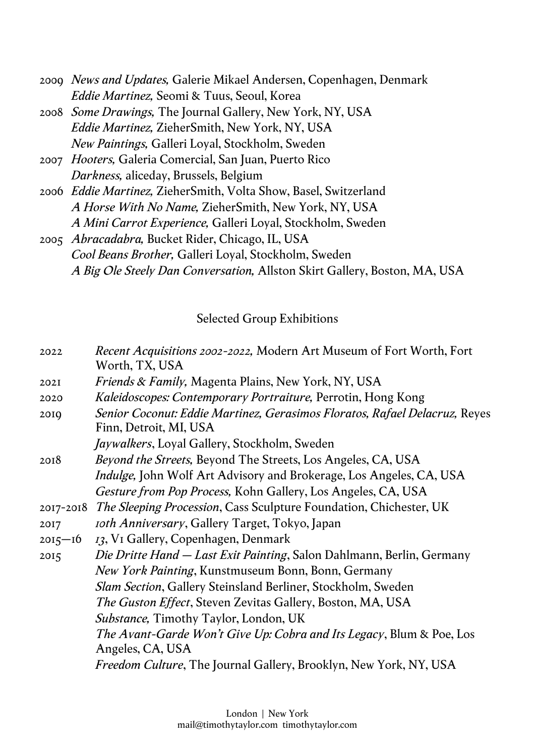- 2009 *News and Updates,* Galerie Mikael Andersen, Copenhagen, Denmark *Eddie Martinez,* Seomi & Tuus, Seoul, Korea
- 2008 *Some Drawings,* The Journal Gallery, New York, NY, USA *Eddie Martinez,* ZieherSmith, New York, NY, USA *New Paintings,* Galleri Loyal, Stockholm, Sweden
- 2007 *Hooters,* Galeria Comercial, San Juan, Puerto Rico *Darkness,* aliceday, Brussels, Belgium
- 2006 *Eddie Martinez,* ZieherSmith, Volta Show, Basel, Switzerland *A Horse With No Name,* ZieherSmith, New York, NY, USA *A Mini Carrot Experience,* Galleri Loyal, Stockholm, Sweden
- 2005 *Abracadabra,* Bucket Rider, Chicago, IL, USA *Cool Beans Brother,* Galleri Loyal, Stockholm, Sweden *A Big Ole Steely Dan Conversation,* Allston Skirt Gallery, Boston, MA, USA

## Selected Group Exhibitions

| Senior Coconut: Eddie Martinez, Gerasimos Floratos, Rafael Delacruz, Reyes |
|----------------------------------------------------------------------------|
|                                                                            |
|                                                                            |
|                                                                            |
|                                                                            |
|                                                                            |
|                                                                            |
|                                                                            |
| Die Dritte Hand – Last Exit Painting, Salon Dahlmann, Berlin, Germany      |
|                                                                            |
|                                                                            |
|                                                                            |
|                                                                            |
| The Avant-Garde Won't Give Up: Cobra and Its Legacy, Blum & Poe, Los       |
|                                                                            |
|                                                                            |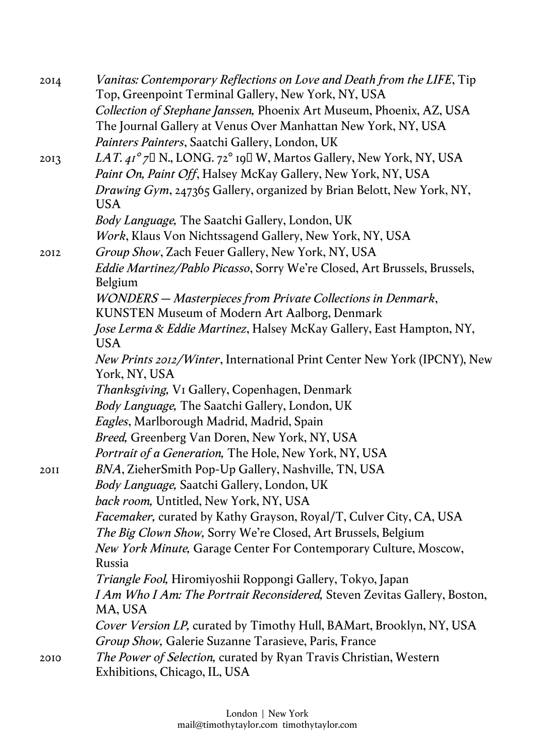| 2014 | Vanitas: Contemporary Reflections on Love and Death from the LIFE, Tip<br>Top, Greenpoint Terminal Gallery, New York, NY, USA |
|------|-------------------------------------------------------------------------------------------------------------------------------|
|      | Collection of Stephane Janssen, Phoenix Art Museum, Phoenix, AZ, USA                                                          |
|      | The Journal Gallery at Venus Over Manhattan New York, NY, USA<br>Painters Painters, Saatchi Gallery, London, UK               |
| 2013 | <i>LAT.</i> $4I^{\circ}$ 7 N, LONG. 72° 19 I W, Martos Gallery, New York, NY, USA                                             |
|      | Paint On, Paint Off, Halsey McKay Gallery, New York, NY, USA                                                                  |
|      | <i>Drawing Gym</i> , 247365 Gallery, organized by Brian Belott, New York, NY,                                                 |
|      | <b>USA</b>                                                                                                                    |
|      | Body Language, The Saatchi Gallery, London, UK                                                                                |
|      | Work, Klaus Von Nichtssagend Gallery, New York, NY, USA                                                                       |
| 2012 | Group Show, Zach Feuer Gallery, New York, NY, USA                                                                             |
|      | Eddie Martinez/Pablo Picasso, Sorry We're Closed, Art Brussels, Brussels,<br>Belgium                                          |
|      | WONDERS - Masterpieces from Private Collections in Denmark,                                                                   |
|      | KUNSTEN Museum of Modern Art Aalborg, Denmark                                                                                 |
|      | Jose Lerma & Eddie Martinez, Halsey McKay Gallery, East Hampton, NY,<br><b>USA</b>                                            |
|      | New Prints 2012/Winter, International Print Center New York (IPCNY), New<br>York, NY, USA                                     |
|      | <i>Thanksgiving</i> , V <sub>I</sub> Gallery, Copenhagen, Denmark                                                             |
|      | Body Language, The Saatchi Gallery, London, UK                                                                                |
|      | Eagles, Marlborough Madrid, Madrid, Spain                                                                                     |
|      | Breed, Greenberg Van Doren, New York, NY, USA                                                                                 |
|      | Portrait of a Generation, The Hole, New York, NY, USA                                                                         |
| 20II | BNA, ZieherSmith Pop-Up Gallery, Nashville, TN, USA                                                                           |
|      | Body Language, Saatchi Gallery, London, UK                                                                                    |
|      | back room, Untitled, New York, NY, USA                                                                                        |
|      | <i>Facemaker</i> , curated by Kathy Grayson, Royal/T, Culver City, CA, USA                                                    |
|      | The Big Clown Show, Sorry We're Closed, Art Brussels, Belgium                                                                 |
|      | New York Minute, Garage Center For Contemporary Culture, Moscow,                                                              |
|      | <b>Russia</b>                                                                                                                 |
|      | <i>Triangle Fool</i> , Hiromiyoshii Roppongi Gallery, Tokyo, Japan                                                            |
|      | I Am Who I Am: The Portrait Reconsidered, Steven Zevitas Gallery, Boston,<br>MA, USA                                          |
|      | Cover Version LP, curated by Timothy Hull, BAMart, Brooklyn, NY, USA                                                          |
|      | Group Show, Galerie Suzanne Tarasieve, Paris, France                                                                          |
| 2010 | The Power of Selection, curated by Ryan Travis Christian, Western<br>Exhibitions, Chicago, IL, USA                            |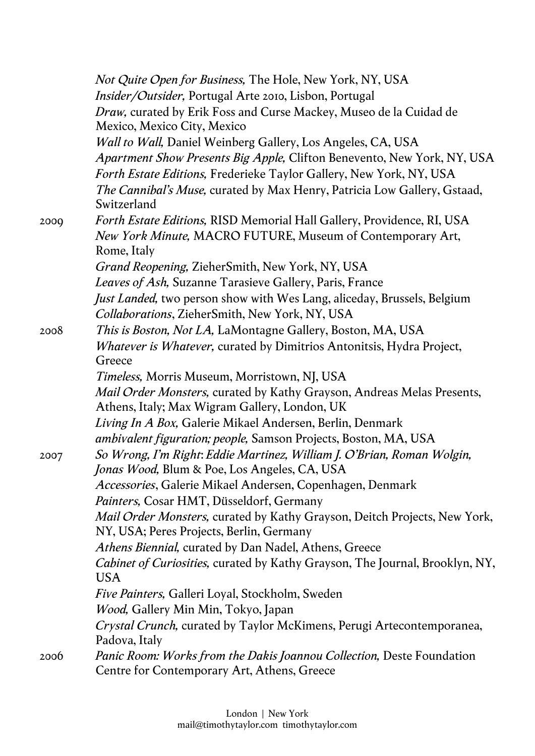|      | Not Quite Open for Business, The Hole, New York, NY, USA                            |
|------|-------------------------------------------------------------------------------------|
|      | Insider/Outsider, Portugal Arte 2010, Lisbon, Portugal                              |
|      | Draw, curated by Erik Foss and Curse Mackey, Museo de la Cuidad de                  |
|      | Mexico, Mexico City, Mexico                                                         |
|      | <i>Wall to Wall</i> , Daniel Weinberg Gallery, Los Angeles, CA, USA                 |
|      | Apartment Show Presents Big Apple, Clifton Benevento, New York, NY, USA             |
|      | Forth Estate Editions, Frederieke Taylor Gallery, New York, NY, USA                 |
|      | The Cannibal's Muse, curated by Max Henry, Patricia Low Gallery, Gstaad,            |
|      | Switzerland                                                                         |
| 2000 | Forth Estate Editions, RISD Memorial Hall Gallery, Providence, RI, USA              |
|      | New York Minute, MACRO FUTURE, Museum of Contemporary Art,                          |
|      | Rome, Italy                                                                         |
|      | Grand Reopening, ZieherSmith, New York, NY, USA                                     |
|      | Leaves of Ash, Suzanne Tarasieve Gallery, Paris, France                             |
|      | <i>Just Landed</i> , two person show with Wes Lang, aliceday, Brussels, Belgium     |
|      | Collaborations, ZieherSmith, New York, NY, USA                                      |
| 2008 | <i>This is Boston, Not LA, LaMontagne Gallery, Boston, MA, USA</i>                  |
|      | Whatever is Whatever, curated by Dimitrios Antonitsis, Hydra Project,               |
|      | Greece                                                                              |
|      | Timeless, Morris Museum, Morristown, NJ, USA                                        |
|      | Mail Order Monsters, curated by Kathy Grayson, Andreas Melas Presents,              |
|      | Athens, Italy; Max Wigram Gallery, London, UK                                       |
|      | Living In A Box, Galerie Mikael Andersen, Berlin, Denmark                           |
|      | ambivalent figuration; people, Samson Projects, Boston, MA, USA                     |
| 2007 | So Wrong, I'm Right: Eddie Martinez, William J. O'Brian, Roman Wolgin,              |
|      | <i>Jonas Wood</i> , Blum & Poe, Los Angeles, CA, USA                                |
|      | Accessories, Galerie Mikael Andersen, Copenhagen, Denmark                           |
|      | Painters, Cosar HMT, Düsseldorf, Germany                                            |
|      | Mail Order Monsters, curated by Kathy Grayson, Deitch Projects, New York,           |
|      | NY, USA; Peres Projects, Berlin, Germany                                            |
|      | Athens Biennial, curated by Dan Nadel, Athens, Greece                               |
|      | <i>Cabinet of Curiosities, curated by Kathy Grayson, The Journal, Brooklyn, NY,</i> |
|      | <b>USA</b>                                                                          |
|      | Five Painters, Galleri Loyal, Stockholm, Sweden                                     |
|      | <i>Wood, Gallery Min Min, Tokyo, Japan</i>                                          |
|      | Crystal Crunch, curated by Taylor McKimens, Perugi Artecontemporanea,               |
|      | Padova, Italy                                                                       |
| 2006 | Panic Room: Works from the Dakis Joannou Collection, Deste Foundation               |
|      | Centre for Contemporary Art, Athens, Greece                                         |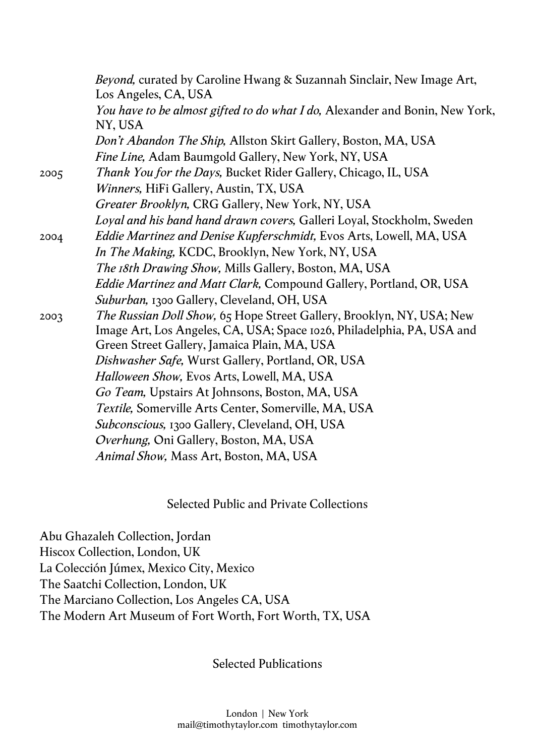|      | <i>Beyond</i> , curated by Caroline Hwang & Suzannah Sinclair, New Image Art,<br>Los Angeles, CA, USA                                                                                           |
|------|-------------------------------------------------------------------------------------------------------------------------------------------------------------------------------------------------|
|      | You have to be almost gifted to do what I do, Alexander and Bonin, New York,<br>NY, USA                                                                                                         |
|      | Don't Abandon The Ship, Allston Skirt Gallery, Boston, MA, USA                                                                                                                                  |
|      | <i>Fine Line, Adam Baumgold Gallery, New York, NY, USA</i>                                                                                                                                      |
| 2005 | Thank You for the Days, Bucket Rider Gallery, Chicago, IL, USA                                                                                                                                  |
|      | Winners, HiFi Gallery, Austin, TX, USA                                                                                                                                                          |
|      | Greater Brooklyn, CRG Gallery, New York, NY, USA                                                                                                                                                |
|      | Loyal and his band hand drawn covers, Galleri Loyal, Stockholm, Sweden                                                                                                                          |
| 2004 | Eddie Martinez and Denise Kupferschmidt, Evos Arts, Lowell, MA, USA                                                                                                                             |
|      | In The Making, KCDC, Brooklyn, New York, NY, USA                                                                                                                                                |
|      | The 18th Drawing Show, Mills Gallery, Boston, MA, USA                                                                                                                                           |
|      | <i>Eddie Martinez and Matt Clark, Compound Gallery, Portland, OR, USA</i>                                                                                                                       |
|      | Suburban, 1300 Gallery, Cleveland, OH, USA                                                                                                                                                      |
| 2003 | The Russian Doll Show, 65 Hope Street Gallery, Brooklyn, NY, USA; New<br>Image Art, Los Angeles, CA, USA; Space 1026, Philadelphia, PA, USA and<br>Green Street Gallery, Jamaica Plain, MA, USA |
|      | Dishwasher Safe, Wurst Gallery, Portland, OR, USA                                                                                                                                               |
|      | Halloween Show, Evos Arts, Lowell, MA, USA                                                                                                                                                      |
|      | Go Team, Upstairs At Johnsons, Boston, MA, USA                                                                                                                                                  |
|      | Textile, Somerville Arts Center, Somerville, MA, USA                                                                                                                                            |
|      | Subconscious, 1300 Gallery, Cleveland, OH, USA                                                                                                                                                  |
|      | Overhung, Oni Gallery, Boston, MA, USA                                                                                                                                                          |
|      | Animal Show, Mass Art, Boston, MA, USA                                                                                                                                                          |
|      |                                                                                                                                                                                                 |

Selected Public and Private Collections

Abu Ghazaleh Collection, Jordan Hiscox Collection, London, UK La Colección Júmex, Mexico City, Mexico The Saatchi Collection, London, UK The Marciano Collection, Los Angeles CA, USA The Modern Art Museum of Fort Worth, Fort Worth, TX, USA

Selected Publications